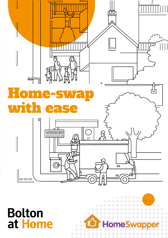

**Bolton** at Home

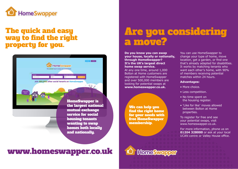

### The quick and easy way to find the right property for you.



## Are you considering a move?

**Do you know you can swap your house, locally or nationally, through HomeSwapper? It's the UK's largest direct home swap service.**  At any one time, around 1,000 Bolton at Home customers are registered with HomeSwapper and over 500,000 members are looking for potential swaps at **www.homeswapper.co.uk.**

We can help you find the right home for your needs with free HomeSwapper membership.

You can use HomeSwapper to change your type of home, move location, get a garden, or find one that's already adapted for disabilities. It works by matching tenants who want each other's home, with 90% of members receiving potential matches within 24 hours.

#### **Advantages:**

- More choice.
- Less competition.
- No time spent on the housing register.
- 'Like for like' moves allowed between Bolton at Home properties.

To register for free and see your potential swaps, visit www.homeswapper.co.uk.

For more information, phone us on **01204 328000** or ask at your local UCAN centre or Valley House office.

## www.homeswapper.co.uk

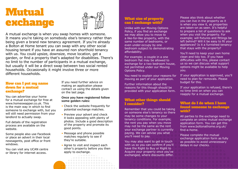# **Mutual** exchange What size of property<br>an I exchange with?



A mutual exchange is when you swap homes with someone. It means you're taking on somebody else's tenancy rather than being given a brand new tenancy agreement. If you're already a Bolton at Home tenant you can swap with any other social housing tenant if you have an assured non shorthold tenancy with us. You could upsize, downsize, move location, get a garden, or find a property that's adapted for disabilities. There's no limit to the number of participants in a mutual exchange, but usually it will be a direct swap between two social rented households. Occasionally it might involve three or more different households.

#### How can I put mu name down for a mutual exchange?

You can advertise your home for a mutual exchange for free at www.homeswapper.co.uk. This is the main way in which to find someone to exchange with, but you will still need permission from your landlord to actually swap.

Full details of the registration process are available on the website.

Some people also use Facebook or place an advert in their local newsagents, post office or front windows.

You can visit any UCAN centre or library for internet access.

If you need further advice on making an application please contact us using the details given on the last page.

#### **Once you have registered follow some golden rules:**

- Check the website frequently for potential exchange matches.
- Preview your advert and check it looks appealing with plenty of photos. Include a good description of the property and promote its good points.
- Message and phone possible matches regularly to see if they're suitable.
- Agree to visit and inspect each other's property before you then apply to exchange.

## can I exchange with?

Unlike with our Moving Options Policy, if you find an exchange we may allow you to move to a like-for-like property, with the same number of bedrooms, or even under-occupy by one bedroom subject to demonstrating affordability.

For example; a couple in a one bedroom flat may be allowed to exchange for a two bedroom house, not permitted under our Moving Options Policy.

You need to explain your reasons for moving as part of your application.

Further information about the reasons for this though should be provided with your application form.

#### What other things should I consider?

Remember that you could be taking on someone else's tenancy so there may be some changes to your tenancy conditions. For example; the rent you pay when you move may not be the same as the rent your exchange partner is currently paying. We can advise you what you'll need to pay.

You may also want to get in touch with us so you can confirm if you'll have the Right to Buy or Right to Acquire your property once you've exchanged, where discounts differ.

Please also think about whether you can live in the property as it is when you view it, as properties are taken-on as seen. It's helpful to prepare a list of questions to ask when you visit the property. For example; will fixtures and fittings be left behind? Will it be easy to fit your appliances? Is it a furnished tenancy that stays with the property?

You'll need to keep your own home clean and tidy too. If you have difficulties with this, please contact us so we can discuss what support options might be available to help you.

If your application is approved, you'll need to plan for removals. Please budget for this.

If your application is refused, there's no time limit on when you can reapply for a mutual exchange.

#### What do I do when I have found someone to exchange with?

All parties to the exchange need to complete an online mutual exchange application form. You can get this from www.boltonathome.org.uk/ find-a-home.

Please complete the mutual exchange application form as fully as possible to avoid unnecessary delays in our checks.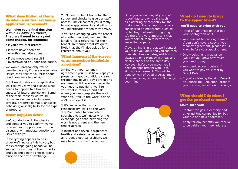#### What does Bolton at Home do when a mutual exchange application is received?

**We'll give you a final decision within 42 days (six weeks). First, we'll need to carry out some checks, for example:**

- if you have rent arrears
- if there have been any unauthorised alterations
- if the move would result in overcrowding or under-occupation.

We won't unreasonably refuse permission and, if there are solvable issues, we'll talk to you first about how these may be put right.

But if we do refuse your application, we'll tell you why and discuss what needs to happen to allow for a successful future application. Some of the main reasons we would refuse an exchange include rent arrears, property damage, antisocial behaviour, or ineligibility for the type of property.

#### What happens next?

We'll conduct our initial checks and contact you to confirm we've received your application form and discuss any immediate questions or issues with you.

If everything appears to be in order we'll indicate this to you, but the exchange going ahead will be subject to a survey of the property, and gas and electric checks taking place on the day of exchange.

You'll need to be at home for the survey and checks to give our staff access. They'll contact you directly to make appointments and will show you identification when they arrive.

If you're exchanging with the tenant of another landlord, we'll ask that landlord for a reference for their tenant. Remember that it's quite likely that they'll also ask us for a reference about you.

#### What happens if the survey or an inspection highlights a problem?

In-line with your tenancy agreement you must have kept your property in good condition, clean throughout, have a tidy garden and no damage. If there's an issue that you need to put right, we'll tell you what is required and ask when you can complete the work. When you tell us the work is done we'll re-inspect it.

If it's an issue that is our responsibility, we'll do the work. If we're unable to complete it straight away, we'll usually let the exchange go ahead providing the work is not urgent and the new tenant agrees.

If inspections reveal a significant health and safety issue, such as an urgent electrical problem, we may have to refuse the request.

Once you've exchanged you can't report day-to-day repairs such as plastering or carpentry for the first six months, except for repairs considered an emergency such as no heating, hot water or lighting. It's therefore very important that you report all repairs before you leave the property.

If everything is in order, we'll contact you to let you know and you can then think about move dates, which must always be on a Monday with gas and electric checks on the same day. However, before you move, you'll need an appointment with us to sign your agreement. This will be done by way of Deed of Assignment. Once you've signed you can't change your mind.



#### **You'll need to bring with you:**

- Proof of identification that has your photograph on it.
- Your current tenancy agreement. If you don't have a copy of your tenancy agreement, please let us know before your appointment.
- One week's rent in advance (we'll let you know how much you need to pay).
- Your bank account details if you want to pay your rent by Direct Debit.
- If you're claiming Housing Benefit or Council Tax Reduction, proof of your income, benefits and savings.

#### What should I do when I get the go-ahead to move?

#### **Make sure you:**

- Contact the gas, electricity and other utilities companies for both your old and new addresses.
- Apply for any benefits you receive to be paid at your new address.